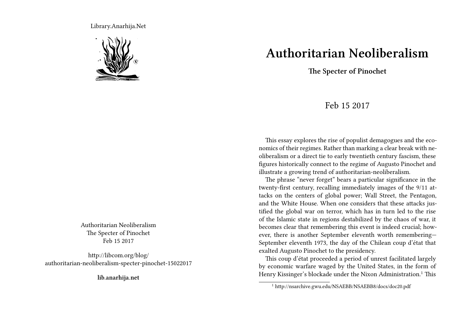Library.Anarhija.Net



Authoritarian Neoliberalism The Specter of Pinochet Feb 15 2017

http://libcom.org/blog/ authoritarian-neoliberalism-specter-pinochet-15022017

**lib.anarhija.net**

## **Authoritarian Neoliberalism**

**The Specter of Pinochet**

## Feb 15 2017

This essay explores the rise of populist demagogues and the economics of their regimes. Rather than marking a clear break with neoliberalism or a direct tie to early twentieth century fascism, these figures historically connect to the regime of Augusto Pinochet and illustrate a growing trend of authoritarian-neoliberalism.

The phrase "never forget" bears a particular significance in the twenty-first century, recalling immediately images of the 9/11 attacks on the centers of global power; Wall Street, the Pentagon, and the White House. When one considers that these attacks justified the global war on terror, which has in turn led to the rise of the Islamic state in regions destabilized by the chaos of war, it becomes clear that remembering this event is indeed crucial; however, there is another September eleventh worth remembering— September eleventh 1973, the day of the Chilean coup d'état that exalted Augusto Pinochet to the presidency.

This coup d'état proceeded a period of unrest facilitated largely by economic warfare waged by the United States, in the form of Henry Kissinger's blockade under the Nixon Administration.<sup>1</sup> This

<sup>1</sup> http://nsarchive.gwu.edu/NSAEBB/NSAEBB8/docs/doc20.pdf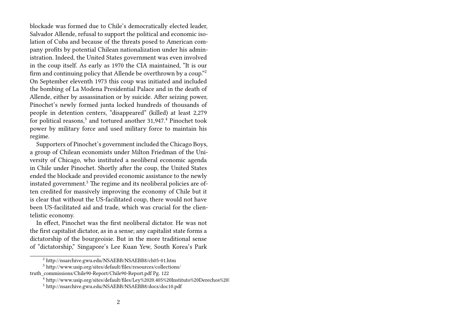blockade was formed due to Chile's democratically elected leader, Salvador Allende, refusal to support the political and economic isolation of Cuba and because of the threats posed to American company profits by potential Chilean nationalization under his administration. Indeed, the United States government was even involved in the coup itself. As early as 1970 the CIA maintained, "It is our firm and continuing policy that Allende be overthrown by a coup."<sup>2</sup> On September eleventh 1973 this coup was initiated and included the bombing of La Modena Presidential Palace and in the death of Allende, either by assassination or by suicide. After seizing power, Pinochet's newly formed junta locked hundreds of thousands of people in detention centers, "disappeared" (killed) at least 2,279 for political reasons,<sup>3</sup> and tortured another 31,947.<sup>4</sup> Pinochet took power by military force and used military force to maintain his regime.

Supporters of Pinochet's government included the Chicago Boys, a group of Chilean economists under Milton Friedman of the University of Chicago, who instituted a neoliberal economic agenda in Chile under Pinochet. Shortly after the coup, the United States ended the blockade and provided economic assistance to the newly instated government.<sup>5</sup> The regime and its neoliberal policies are often credited for massively improving the economy of Chile but it is clear that without the US-facilitated coup, there would not have been US-facilitated aid and trade, which was crucial for the clientelistic economy.

In effect, Pinochet was the first neoliberal dictator. He was not the first capitalist dictator, as in a sense; any capitalist state forms a dictatorship of the bourgeoisie. But in the more traditional sense of "dictatorship," Singapore's Lee Kuan Yew, South Korea's Park

<sup>2</sup> http://nsarchive.gwu.edu/NSAEBB/NSAEBB8/ch05-01.htm

<sup>3</sup> http://www.usip.org/sites/default/files/resources/collections/

truth\_commissions/Chile90-Report/Chile90-Report.pdf Pg. 122

<sup>&</sup>lt;sup>4</sup> http://www.usip.org/sites/default/files/Ley%2020.405%20Instituto%20Derechos%20l

<sup>5</sup> http://nsarchive.gwu.edu/NSAEBB/NSAEBB8/docs/doc10.pdf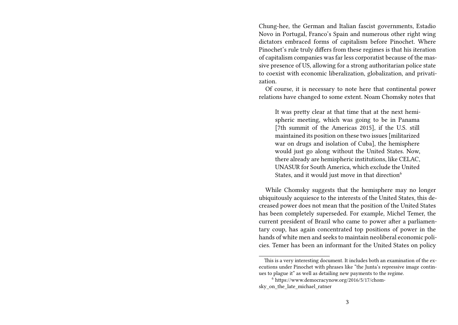Chung-hee, the German and Italian fascist governments, Estadio Novo in Portugal, Franco's Spain and numerous other right wing dictators embraced forms of capitalism before Pinochet. Where Pinochet's rule truly differs from these regimes is that his iteration of capitalism companies was far less corporatist because of the massive presence of US, allowing for a strong authoritarian police state to coexist with economic liberalization, globalization, and privatization.

Of course, it is necessary to note here that continental power relations have changed to some extent. Noam Chomsky notes that

It was pretty clear at that time that at the next hemispheric meeting, which was going to be in Panama [7th summit of the Americas 2015], if the U.S. still maintained its position on these two issues [militarized war on drugs and isolation of Cuba], the hemisphere would just go along without the United States. Now, there already are hemispheric institutions, like CELAC, UNASUR for South America, which exclude the United States, and it would just move in that direction<sup>6</sup>

While Chomsky suggests that the hemisphere may no longer ubiquitously acquiesce to the interests of the United States, this decreased power does not mean that the position of the United States has been completely superseded. For example, Michel Temer, the current president of Brazil who came to power after a parliamentary coup, has again concentrated top positions of power in the hands of white men and seeks to maintain neoliberal economic policies. Temer has been an informant for the United States on policy

This is a very interesting document. It includes both an examination of the executions under Pinochet with phrases like "the Junta's repressive image continues to plague it" as well as detailing new payments to the regime.

<sup>6</sup> https://www.democracynow.org/2016/5/17/chomsky on the late michael ratner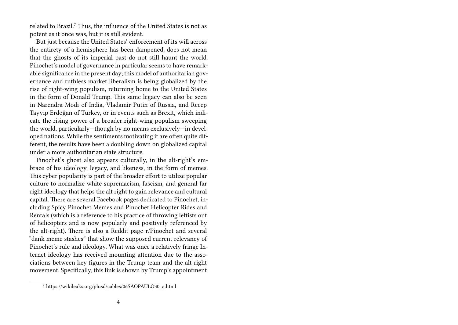related to Brazil.<sup>7</sup> Thus, the influence of the United States is not as potent as it once was, but it is still evident.

But just because the United States' enforcement of its will across the entirety of a hemisphere has been dampened, does not mean that the ghosts of its imperial past do not still haunt the world. Pinochet's model of governance in particular seems to have remarkable significance in the present day; this model of authoritarian governance and ruthless market liberalism is being globalized by the rise of right-wing populism, returning home to the United States in the form of Donald Trump. This same legacy can also be seen in Narendra Modi of India, Vladamir Putin of Russia, and Recep Tayyip Erdoğan of Turkey, or in events such as Brexit, which indicate the rising power of a broader right-wing populism sweeping the world, particularly—though by no means exclusively—in developed nations. While the sentiments motivating it are often quite different, the results have been a doubling down on globalized capital under a more authoritarian state structure.

Pinochet's ghost also appears culturally, in the alt-right's embrace of his ideology, legacy, and likeness, in the form of memes. This cyber popularity is part of the broader effort to utilize popular culture to normalize white supremacism, fascism, and general far right ideology that helps the alt right to gain relevance and cultural capital. There are several Facebook pages dedicated to Pinochet, including Spicy Pinochet Memes and Pinochet Helicopter Rides and Rentals (which is a reference to his practice of throwing leftists out of helicopters and is now popularly and positively referenced by the alt-right). There is also a Reddit page r/Pinochet and several "dank meme stashes" that show the supposed current relevancy of Pinochet's rule and ideology. What was once a relatively fringe Internet ideology has received mounting attention due to the associations between key figures in the Trump team and the alt right movement. Specifically, this link is shown by Trump's appointment

<sup>7</sup> https://wikileaks.org/plusd/cables/06SAOPAULO30\_a.html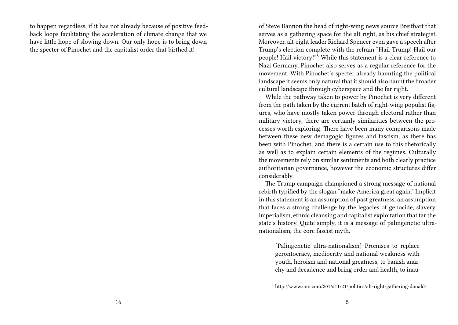to happen regardless, if it has not already because of positive feedback loops facilitating the acceleration of climate change that we have little hope of slowing down. Our only hope is to bring down the specter of Pinochet and the capitalist order that birthed it!

of Steve Bannon the head of right-wing news source Breitbart that serves as a gathering space for the alt right, as his chief strategist. Moreover, alt-right leader Richard Spencer even gave a speech after Trump's election complete with the refrain "Hail Trump! Hail our people! Hail victory!"<sup>8</sup> While this statement is a clear reference to Nazi Germany, Pinochet also serves as a regular reference for the movement. With Pinochet's specter already haunting the political landscape it seems only natural that it should also haunt the broader cultural landscape through cyberspace and the far right.

While the pathway taken to power by Pinochet is very different from the path taken by the current batch of right-wing populist figures, who have mostly taken power through electoral rather than military victory, there are certainly similarities between the processes worth exploring. There have been many comparisons made between these new demagogic figures and fascism, as there has been with Pinochet, and there is a certain use to this rhetorically as well as to explain certain elements of the regimes. Culturally the movements rely on similar sentiments and both clearly practice authoritarian governance, however the economic structures differ considerably.

The Trump campaign championed a strong message of national rebirth typified by the slogan "make America great again." Implicit in this statement is an assumption of past greatness, an assumption that faces a strong challenge by the legacies of genocide, slavery, imperialism, ethnic cleansing and capitalist exploitation that tar the state's history. Quite simply, it is a message of palingenetic ultranationalism, the core fascist myth.

[Palingenetic ultra-nationalism] Promises to replace gerontocracy, mediocrity and national weakness with youth, heroism and national greatness, to banish anarchy and decadence and bring order and health, to inau-

<sup>8</sup> http://www.cnn.com/2016/11/21/politics/alt-right-gathering-donald-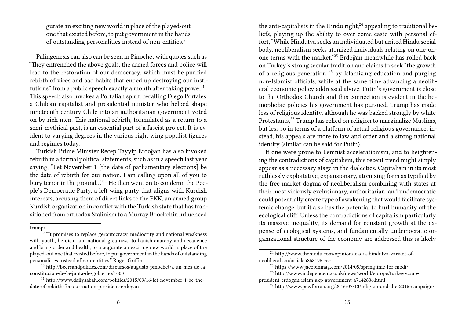gurate an exciting new world in place of the played-out one that existed before, to put government in the hands of outstanding personalities instead of non-entities.<sup>9</sup>

Palingenesis can also can be seen in Pinochet with quotes such as "They entrenched the above goals, the armed forces and police will lead to the restoration of our democracy, which must be purified rebirth of vices and bad habits that ended up destroying our institutions" from a public speech exactly a month after taking power.<sup>10</sup> This speech also invokes a Portalian spirit, recalling Diego Portales, a Chilean capitalist and presidential minister who helped shape nineteenth century Chile into an authoritarian government voted on by rich men. This national rebirth, formulated as a return to a semi-mythical past, is an essential part of a fascist project. It is evident to varying degrees in the various right wing populist figures and regimes today.

Turkish Prime Minister Recep Tayyip Erdoğan has also invoked rebirth in a formal political statements, such as in a speech last year saying, "Let November 1 [the date of parliamentary elections] be the date of rebirth for our nation. I am calling upon all of you to bury terror in the ground…"<sup>11</sup> He then went on to condemn the People's Democratic Party, a left wing party that aligns with Kurdish interests, accusing them of direct links to the PKK, an armed group Kurdish organization in conflict with the Turkish state that has transitioned from orthodox Stalinism to a Murray Boockchin influenced

the anti-capitalists in the Hindu right, $^{24}$  appealing to traditional beliefs, playing up the ability to over come caste with personal effort, "While Hindutva seeks an individuated but united Hindu social body, neoliberalism seeks atomized individuals relating on one-onone terms with the market."<sup>25</sup> Erdoğan meanwhile has rolled back on Turkey's strong secular tradition and claims to seek "the growth of a religious generation"<sup>26</sup> by Islamizing education and purging non-Islamist officials, while at the same time advancing a neoliberal economic policy addressed above. Putin's government is close to the Orthodox Church and this connection is evident in the homophobic policies his government has pursued. Trump has made less of religious identity, although he was backed strongly by white Protestants,<sup>27</sup> Trump has relied on religion to marginalize Muslims, but less so in terms of a platform of actual religious governance; instead, his appeals are more to law and order and a strong national identity (similar can be said for Putin).

If one were prone to Leninist accelerationism, and to heightening the contradictions of capitalism, this recent trend might simply appear as a necessary stage in the dialectics. Capitalism in its most ruthlessly exploitative, expansionary, atomizing form as typified by the free market dogma of neoliberalism combining with states at their most viciously exclusionary, authoritarian, and undemocratic could potentially create type of awakening that would facilitate systemic change, but it also has the potential to hurl humanity off the ecological cliff. Unless the contradictions of capitalism particularly its massive inequality, its demand for constant growth at the expense of ecological systems, and fundamentally undemocratic organizational structure of the economy are addressed this is likely

trump/

<sup>&</sup>lt;sup>9</sup> "It promises to replace gerontocracy, mediocrity and national weakness with youth, heroism and national greatness, to banish anarchy and decadence and bring order and health, to inaugurate an exciting new world in place of the played-out one that existed before, to put government in the hands of outstanding personalities instead of non-entities." Roger Griffin

<sup>10</sup> http://beersandpolitics.com/discursos/augusto-pinochet/a-un-mes-de-laconstitucion-de-la-junta-de-gobierno/1000

<sup>11</sup> http://www.dailysabah.com/politics/2015/09/16/let-november-1-be-thedate-of-rebirth-for-our-nation-president-erdogan

<sup>24</sup> http://www.thehindu.com/opinion/lead/a-hindutva-variant-ofneoliberalism/article5868196.ece

<sup>25</sup> https://www.jacobinmag.com/2014/05/springtime-for-modi/

<sup>26</sup> http://www.independent.co.uk/news/world/europe/turkey-couppresident-erdogan-islam-akp-government-a7142836.html

<sup>27</sup> http://www.pewforum.org/2016/07/13/religion-and-the-2016-campaign/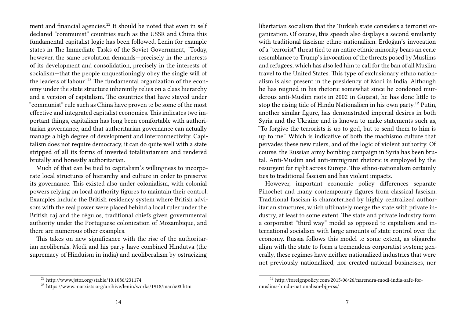ment and financial agencies.<sup>22</sup> It should be noted that even in self declared "communist" countries such as the USSR and China this fundamental capitalist logic has been followed. Lenin for example states in The Immediate Tasks of the Soviet Government, "Today, however, the same revolution demands—precisely in the interests of its development and consolidation, precisely in the interests of socialism—that the people unquestioningly obey the single will of the leaders of labour."<sup>23</sup> The fundamental organization of the economy under the state structure inherently relies on a class hierarchy and a version of capitalism. The countries that have stayed under "communist" rule such as China have proven to be some of the most effective and integrated capitalist economies. This indicates two important things, capitalism has long been comfortable with authoritarian governance, and that authoritarian governance can actually manage a high degree of development and interconnectivity. Capitalism does not require democracy, it can do quite well with a state stripped of all its forms of inverted totalitarianism and rendered brutally and honestly authoritarian.

Much of that can be tied to capitalism's willingness to incorporate local structures of hierarchy and culture in order to preserve its governance. This existed also under colonialism, with colonial powers relying on local authority figures to maintain their control. Examples include the British residency system where British advisors with the real power were placed behind a local ruler under the British raj and the régulos, traditional chiefs given governmental authority under the Portuguese colonization of Mozambique, and there are numerous other examples.

This takes on new significance with the rise of the authoritarian neoliberals. Modi and his party have combined Hindutva (the supremacy of Hinduism in india) and neoliberalism by ostracizing

libertarian socialism that the Turkish state considers a terrorist organization. Of course, this speech also displays a second similarity with traditional fascism: ethno-nationalism. Erdoğan's invocation of a "terrorist" threat tied to an entire ethnic minority bears an eerie resemblance to Trump's invocation of the threats posed by Muslims and refugees, which has also led him to call for the ban of all Muslim travel to the United States. This type of exclusionary ethno nationalism is also present in the presidency of Modi in India. Although he has reigned in his rhetoric somewhat since he condoned murderous anti-Muslim riots in 2002 in Gujarat, he has done little to stop the rising tide of Hindu Nationalism in his own party.<sup>12</sup> Putin, another similar figure, has demonstrated imperial desires in both Syria and the Ukraine and is known to make statements such as, "To forgive the terrorists is up to god, but to send them to him is up to me." Which is indicative of both the machismo culture that pervades these new rulers, and of the logic of violent authority. Of course, the Russian army bombing campaign in Syria has been brutal. Anti-Muslim and anti-immigrant rhetoric is employed by the resurgent far right across Europe. This ethno-nationalism certainly ties to traditional fascism and has violent impacts.

However, important economic policy differences separate Pinochet and many contemporary figures from classical fascism. Traditional fascism is characterized by highly centralized authoritarian structures, which ultimately merge the state with private industry, at least to some extent. The state and private industry form a corporatist "third way" model as opposed to capitalism and international socialism with large amounts of state control over the economy. Russia follows this model to some extent, as oligarchs align with the state to form a tremendous corporatist system; generally, these regimes have neither nationalized industries that were not previously nationalized, nor created national businesses, nor

<sup>22</sup> http://www.jstor.org/stable/10.1086/231174

<sup>23</sup> https://www.marxists.org/archive/lenin/works/1918/mar/x03.htm

<sup>12</sup> http://foreignpolicy.com/2015/06/26/narendra-modi-india-safe-formuslims-hindu-nationalism-bjp-rss/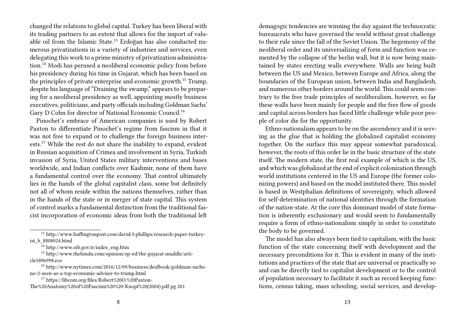changed the relations to global capital. Turkey has been liberal with its trading partners to an extent that allows for the import of valuable oil from the Islamic State.<sup>13</sup> Erdoğan has also conducted numerous privatizations in a variety of industries and services, even delegating this work to a prime ministry of privatization administration.<sup>14</sup> Modi has perused a neoliberal economic policy from before his presidency during his time in Gujarat, which has been based on the principles of private enterprise and economic growth.<sup>15</sup> Trump, despite his language of "Draining the swamp," appears to be preparing for a neoliberal presidency as well, appointing mostly business executives, politicians, and party officials including Goldman Sachs' Gary D Cohn for director of National Economic Council.<sup>16</sup>

Pinochet's embrace of American companies is used by Robert Paxton to differentiate Pinochet's regime from fascism in that it was not free to expand or to challenge the foreign business interests.<sup>17</sup> While the rest do not share the inability to expand, evident in Russian acquisition of Crimea and involvement in Syria, Turkish invasion of Syria, United States military interventions and bases worldwide, and Indian conflicts over Kashmir, none of them have a fundamental control over the economy. That control ultimately lies in the hands of the global capitalist class, some but definitely not all of whom reside within the nations themselves, rather than in the hands of the state or in merger of state capital. This system of control marks a fundamental distinction from the traditional fascist incorporation of economic ideas from both the traditional left

<sup>15</sup> http://www.thehindu.com/opinion/op-ed/the-gujarat-muddle/article5896998.ece

- <sup>16</sup> http://www.nytimes.com/2016/12/09/business/dealbook/goldman-sachsno-2-seen-as-a-top-economic-adviser-to-trump.html
- <sup>17</sup> https://libcom.org/files/Robert%20O.%20Paxton-The%20Anatomy%20of%20Fascism%20%20-Knopf%20(2004).pdf pg 201

demagogic tendencies are winning the day against the technocratic bureaucrats who have governed the world without great challenge to their rule since the fall of the Soviet Union. The hegemony of the neoliberal order and its universalizing of form and function was cemented by the collapse of the berlin wall, but it is now being maintained by states erecting walls everywhere. Walls are being built between the US and Mexico, between Europe and Africa, along the boundaries of the European union, between India and Bangladesh, and numerous other borders around the world. This could seem contrary to the free trade principles of neoliberalism, however, so far these walls have been mainly for people and the free flow of goods and capital across borders has faced little challenge while poor people of color die for the opportunity.

Ethno-nationalism appears to be on the ascendency and it is serving as the glue that is holding the globalized capitalist economy together. On the surface this may appear somewhat paradoxical, however, the roots of this order lie in the basic structure of the state itself. The modern state, the first real example of which is the US, and which was globalized at the end of explicit colonization through world institutions centered in the US and Europe (the former colonizing powers) and based on the model instituted there. This model is based in Westphalian definitions of sovereignty, which allowed for self-determination of national identities through the formation of the nation-state. At the core this dominant model of state formation is inherently exclusionary and would seem to fundamentally require a form of ethno-nationalism simply in order to constitute the body to be governed.

The model has also always been tied to capitalism, with the basic function of the state concerning itself with development and the necessary preconditions for it. This is evident in many of the institutions and practices of the state that are universal or practically so and can be directly tied to capitalist development or to the control of population necessary to facilitate it such as record keeping functions, census taking, mass schooling, social services, and develop-

<sup>13</sup> http://www.huffingtonpost.com/david-l-phillips/research-paper-turkeyisi\_b\_8808024.html

 $14 \text{ http://www.oib.gov.tr/index-eng.htm}$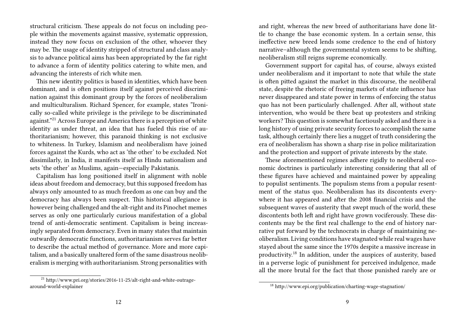structural criticism. These appeals do not focus on including people within the movements against massive, systematic oppression, instead they now focus on exclusion of the other, whoever they may be. The usage of identity stripped of structural and class analysis to advance political aims has been appropriated by the far right to advance a form of identity politics catering to white men, and advancing the interests of rich white men.

This new identity politics is based in identities, which have been dominant, and is often positions itself against perceived discrimination against this dominant group by the forces of neoliberalism and multiculturalism. Richard Spencer, for example, states "Ironically so-called white privilege is the privilege to be discriminated against."<sup>21</sup> Across Europe and America there is a perception of white identity as under threat, an idea that has fueled this rise of authoritarianism; however, this paranoid thinking is not exclusive to whiteness. In Turkey, Islamism and neoliberalism have joined forces against the Kurds, who act as 'the other' to be excluded. Not dissimilarly, in India, it manifests itself as Hindu nationalism and sets 'the other' as Muslims, again—especially Pakistanis.

Capitalism has long positioned itself in alignment with noble ideas about freedom and democracy, but this supposed freedom has always only amounted to as much freedom as one can buy and the democracy has always been suspect. This historical allegiance is however being challenged and the alt-right and its Pinochet memes serves as only one particularly curious manifestation of a global trend of anti-democratic sentiment. Capitalism is being increasingly separated from democracy. Even in many states that maintain outwardly democratic functions, authoritarianism serves far better to describe the actual method of governance. More and more capitalism, and a basically unaltered form of the same disastrous neoliberalism is merging with authoritarianism. Strong personalities with

and right, whereas the new breed of authoritarians have done little to change the base economic system. In a certain sense, this ineffective new breed lends some credence to the end of history narrative–although the governmental system seems to be shifting, neoliberalism still reigns supreme economically.

Government support for capital has, of course, always existed under neoliberalism and it important to note that while the state is often pitted against the market in this discourse, the neoliberal state, despite the rhetoric of freeing markets of state influence has never disappeared and state power in terms of enforcing the status quo has not been particularly challenged. After all, without state intervention, who would be there beat up protesters and striking workers? This question is somewhat facetiously asked and there is a long history of using private security forces to accomplish the same task, although certainly there lies a nugget of truth considering the era of neoliberalism has shown a sharp rise in police militarization and the protection and support of private interests by the state.

These aforementioned regimes adhere rigidly to neoliberal economic doctrines is particularly interesting considering that all of these figures have achieved and maintained power by appealing to populist sentiments. The populism stems from a popular resentment of the status quo. Neoliberalism has its discontents everywhere it has appeared and after the 2008 financial crisis and the subsequent waves of austerity that swept much of the world, these discontents both left and right have grown vociferously. These discontents may be the first real challenge to the end of history narrative put forward by the technocrats in charge of maintaining neoliberalism. Living conditions have stagnated while real wages have stayed about the same since the 1970s despite a massive increase in productivity.<sup>18</sup> In addition, under the auspices of austerity, based in a perverse logic of punishment for perceived indulgence, made all the more brutal for the fact that those punished rarely are or

<sup>21</sup> http://www.pri.org/stories/2016-11-25/alt-right-and-white-outragearound-world-explainer

<sup>18</sup> http://www.epi.org/publication/charting-wage-stagnation/